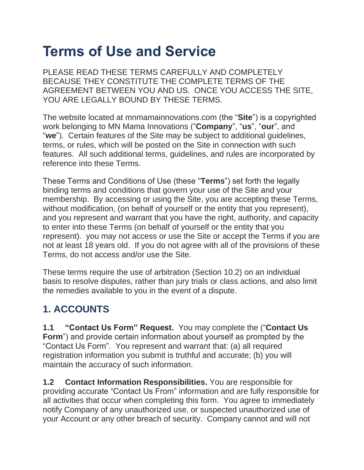# **Terms of Use and Service**

PLEASE READ THESE TERMS CAREFULLY AND COMPLETELY BECAUSE THEY CONSTITUTE THE COMPLETE TERMS OF THE AGREEMENT BETWEEN YOU AND US. ONCE YOU ACCESS THE SITE, YOU ARE LEGALLY BOUND BY THESE TERMS.

The website located at mnmamainnovations.com (the "**Site**") is a copyrighted work belonging to MN Mama Innovations ("**Company**", "**us**", "**our**", and "**we**"). Certain features of the Site may be subject to additional guidelines, terms, or rules, which will be posted on the Site in connection with such features. All such additional terms, guidelines, and rules are incorporated by reference into these Terms.

These Terms and Conditions of Use (these "**Terms**") set forth the legally binding terms and conditions that govern your use of the Site and your membership. By accessing or using the Site, you are accepting these Terms, without modification, (on behalf of yourself or the entity that you represent), and you represent and warrant that you have the right, authority, and capacity to enter into these Terms (on behalf of yourself or the entity that you represent). you may not access or use the Site or accept the Terms if you are not at least 18 years old. If you do not agree with all of the provisions of these Terms, do not access and/or use the Site.

These terms require the use of arbitration (Section 10.2) on an individual basis to resolve disputes, rather than jury trials or class actions, and also limit the remedies available to you in the event of a dispute.

#### **1. ACCOUNTS**

**1.1 "Contact Us Form" Request.** You may complete the ("**Contact Us Form**") and provide certain information about yourself as prompted by the "Contact Us Form". You represent and warrant that: (a) all required registration information you submit is truthful and accurate; (b) you will maintain the accuracy of such information.

**1.2 Contact Information Responsibilities.** You are responsible for providing accurate "Contact Us From" information and are fully responsible for all activities that occur when completing this form. You agree to immediately notify Company of any unauthorized use, or suspected unauthorized use of your Account or any other breach of security. Company cannot and will not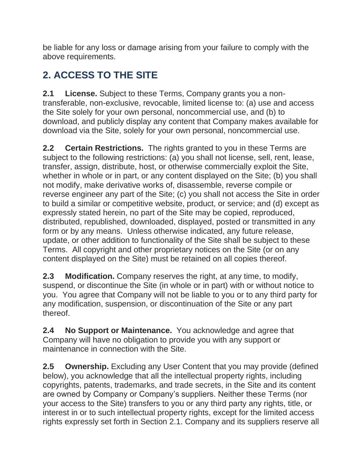be liable for any loss or damage arising from your failure to comply with the above requirements.

# **2. ACCESS TO THE SITE**

**2.1 License.** Subject to these Terms, Company grants you a nontransferable, non-exclusive, revocable, limited license to: (a) use and access the Site solely for your own personal, noncommercial use, and (b) to download, and publicly display any content that Company makes available for download via the Site, solely for your own personal, noncommercial use.

**2.2 Certain Restrictions.** The rights granted to you in these Terms are subject to the following restrictions: (a) you shall not license, sell, rent, lease, transfer, assign, distribute, host, or otherwise commercially exploit the Site, whether in whole or in part, or any content displayed on the Site; (b) you shall not modify, make derivative works of, disassemble, reverse compile or reverse engineer any part of the Site; (c) you shall not access the Site in order to build a similar or competitive website, product, or service; and (d) except as expressly stated herein, no part of the Site may be copied, reproduced, distributed, republished, downloaded, displayed, posted or transmitted in any form or by any means. Unless otherwise indicated, any future release, update, or other addition to functionality of the Site shall be subject to these Terms. All copyright and other proprietary notices on the Site (or on any content displayed on the Site) must be retained on all copies thereof.

**2.3 Modification.** Company reserves the right, at any time, to modify, suspend, or discontinue the Site (in whole or in part) with or without notice to you. You agree that Company will not be liable to you or to any third party for any modification, suspension, or discontinuation of the Site or any part thereof.

**2.4 No Support or Maintenance.** You acknowledge and agree that Company will have no obligation to provide you with any support or maintenance in connection with the Site.

**2.5 Ownership.** Excluding any User Content that you may provide (defined below), you acknowledge that all the intellectual property rights, including copyrights, patents, trademarks, and trade secrets, in the Site and its content are owned by Company or Company's suppliers. Neither these Terms (nor your access to the Site) transfers to you or any third party any rights, title, or interest in or to such intellectual property rights, except for the limited access rights expressly set forth in Section 2.1. Company and its suppliers reserve all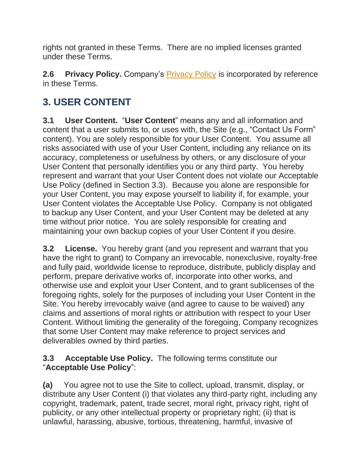rights not granted in these Terms. There are no implied licenses granted under these Terms.

**2.6 [Privacy Policy](https://www.picanetwork.org/pica/privacy_policy.asp).** Company's **Privacy Policy** is incorporated by reference in these Terms.

## **3. USER CONTENT**

**3.1 User Content.** "**User Content**" means any and all information and content that a user submits to, or uses with, the Site (e.g., "Contact Us Form" content). You are solely responsible for your User Content. You assume all risks associated with use of your User Content, including any reliance on its accuracy, completeness or usefulness by others, or any disclosure of your User Content that personally identifies you or any third party. You hereby represent and warrant that your User Content does not violate our Acceptable Use Policy (defined in Section 3.3). Because you alone are responsible for your User Content, you may expose yourself to liability if, for example, your User Content violates the Acceptable Use Policy. Company is not obligated to backup any User Content, and your User Content may be deleted at any time without prior notice. You are solely responsible for creating and maintaining your own backup copies of your User Content if you desire.

**3.2 License.** You hereby grant (and you represent and warrant that you have the right to grant) to Company an irrevocable, nonexclusive, royalty-free and fully paid, worldwide license to reproduce, distribute, publicly display and perform, prepare derivative works of, incorporate into other works, and otherwise use and exploit your User Content, and to grant sublicenses of the foregoing rights, solely for the purposes of including your User Content in the Site. You hereby irrevocably waive (and agree to cause to be waived) any claims and assertions of moral rights or attribution with respect to your User Content. Without limiting the generality of the foregoing, Company recognizes that some User Content may make reference to project services and deliverables owned by third parties.

#### **3.3 Acceptable Use Policy.** The following terms constitute our "**Acceptable Use Policy**":

**(a)** You agree not to use the Site to collect, upload, transmit, display, or distribute any User Content (i) that violates any third-party right, including any copyright, trademark, patent, trade secret, moral right, privacy right, right of publicity, or any other intellectual property or proprietary right; (ii) that is unlawful, harassing, abusive, tortious, threatening, harmful, invasive of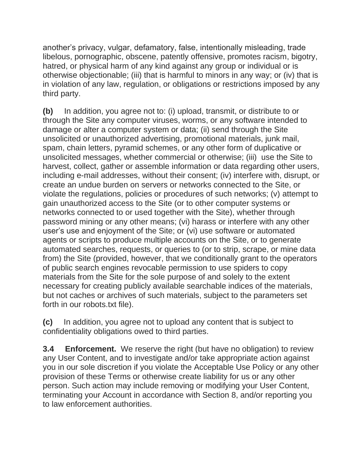another's privacy, vulgar, defamatory, false, intentionally misleading, trade libelous, pornographic, obscene, patently offensive, promotes racism, bigotry, hatred, or physical harm of any kind against any group or individual or is otherwise objectionable; (iii) that is harmful to minors in any way; or (iv) that is in violation of any law, regulation, or obligations or restrictions imposed by any third party.

**(b)** In addition, you agree not to: (i) upload, transmit, or distribute to or through the Site any computer viruses, worms, or any software intended to damage or alter a computer system or data; (ii) send through the Site unsolicited or unauthorized advertising, promotional materials, junk mail, spam, chain letters, pyramid schemes, or any other form of duplicative or unsolicited messages, whether commercial or otherwise; (iii) use the Site to harvest, collect, gather or assemble information or data regarding other users, including e-mail addresses, without their consent; (iv) interfere with, disrupt, or create an undue burden on servers or networks connected to the Site, or violate the regulations, policies or procedures of such networks; (v) attempt to gain unauthorized access to the Site (or to other computer systems or networks connected to or used together with the Site), whether through password mining or any other means; (vi) harass or interfere with any other user's use and enjoyment of the Site; or (vi) use software or automated agents or scripts to produce multiple accounts on the Site, or to generate automated searches, requests, or queries to (or to strip, scrape, or mine data from) the Site (provided, however, that we conditionally grant to the operators of public search engines revocable permission to use spiders to copy materials from the Site for the sole purpose of and solely to the extent necessary for creating publicly available searchable indices of the materials, but not caches or archives of such materials, subject to the parameters set forth in our robots.txt file).

**(c)** In addition, you agree not to upload any content that is subject to confidentiality obligations owed to third parties.

**3.4 Enforcement.** We reserve the right (but have no obligation) to review any User Content, and to investigate and/or take appropriate action against you in our sole discretion if you violate the Acceptable Use Policy or any other provision of these Terms or otherwise create liability for us or any other person. Such action may include removing or modifying your User Content, terminating your Account in accordance with Section 8, and/or reporting you to law enforcement authorities.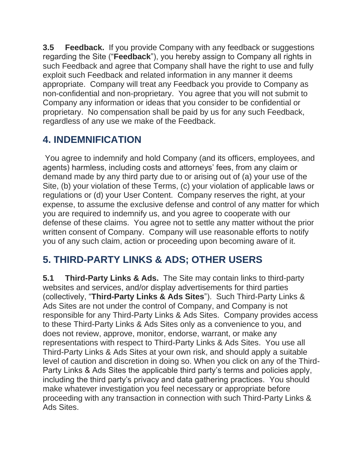**3.5 Feedback.** If you provide Company with any feedback or suggestions regarding the Site ("**Feedback**"), you hereby assign to Company all rights in such Feedback and agree that Company shall have the right to use and fully exploit such Feedback and related information in any manner it deems appropriate. Company will treat any Feedback you provide to Company as non-confidential and non-proprietary. You agree that you will not submit to Company any information or ideas that you consider to be confidential or proprietary. No compensation shall be paid by us for any such Feedback, regardless of any use we make of the Feedback.

#### **4. INDEMNIFICATION**

You agree to indemnify and hold Company (and its officers, employees, and agents) harmless, including costs and attorneys' fees, from any claim or demand made by any third party due to or arising out of (a) your use of the Site, (b) your violation of these Terms, (c) your violation of applicable laws or regulations or (d) your User Content. Company reserves the right, at your expense, to assume the exclusive defense and control of any matter for which you are required to indemnify us, and you agree to cooperate with our defense of these claims. You agree not to settle any matter without the prior written consent of Company. Company will use reasonable efforts to notify you of any such claim, action or proceeding upon becoming aware of it.

## **5. THIRD-PARTY LINKS & ADS; OTHER USERS**

**5.1 Third-Party Links & Ads.** The Site may contain links to third-party websites and services, and/or display advertisements for third parties (collectively, "**Third-Party Links & Ads Sites**"). Such Third-Party Links & Ads Sites are not under the control of Company, and Company is not responsible for any Third-Party Links & Ads Sites. Company provides access to these Third-Party Links & Ads Sites only as a convenience to you, and does not review, approve, monitor, endorse, warrant, or make any representations with respect to Third-Party Links & Ads Sites. You use all Third-Party Links & Ads Sites at your own risk, and should apply a suitable level of caution and discretion in doing so. When you click on any of the Third-Party Links & Ads Sites the applicable third party's terms and policies apply, including the third party's privacy and data gathering practices. You should make whatever investigation you feel necessary or appropriate before proceeding with any transaction in connection with such Third-Party Links & Ads Sites.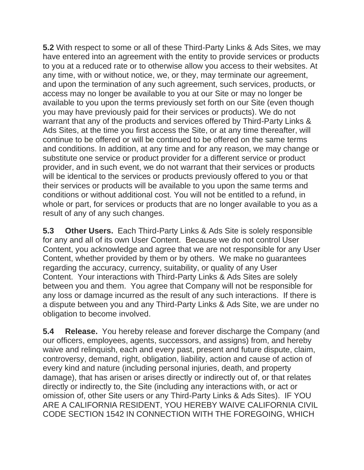**5.2** With respect to some or all of these Third-Party Links & Ads Sites, we may have entered into an agreement with the entity to provide services or products to you at a reduced rate or to otherwise allow you access to their websites. At any time, with or without notice, we, or they, may terminate our agreement, and upon the termination of any such agreement, such services, products, or access may no longer be available to you at our Site or may no longer be available to you upon the terms previously set forth on our Site (even though you may have previously paid for their services or products). We do not warrant that any of the products and services offered by Third-Party Links & Ads Sites, at the time you first access the Site, or at any time thereafter, will continue to be offered or will be continued to be offered on the same terms and conditions. In addition, at any time and for any reason, we may change or substitute one service or product provider for a different service or product provider, and in such event, we do not warrant that their services or products will be identical to the services or products previously offered to you or that their services or products will be available to you upon the same terms and conditions or without additional cost. You will not be entitled to a refund, in whole or part, for services or products that are no longer available to you as a result of any of any such changes.

**5.3 Other Users.** Each Third-Party Links & Ads Site is solely responsible for any and all of its own User Content. Because we do not control User Content, you acknowledge and agree that we are not responsible for any User Content, whether provided by them or by others. We make no guarantees regarding the accuracy, currency, suitability, or quality of any User Content. Your interactions with Third-Party Links & Ads Sites are solely between you and them. You agree that Company will not be responsible for any loss or damage incurred as the result of any such interactions. If there is a dispute between you and any Third-Party Links & Ads Site, we are under no obligation to become involved.

**5.4 Release.** You hereby release and forever discharge the Company (and our officers, employees, agents, successors, and assigns) from, and hereby waive and relinquish, each and every past, present and future dispute, claim, controversy, demand, right, obligation, liability, action and cause of action of every kind and nature (including personal injuries, death, and property damage), that has arisen or arises directly or indirectly out of, or that relates directly or indirectly to, the Site (including any interactions with, or act or omission of, other Site users or any Third-Party Links & Ads Sites). IF YOU ARE A CALIFORNIA RESIDENT, YOU HEREBY WAIVE CALIFORNIA CIVIL CODE SECTION 1542 IN CONNECTION WITH THE FOREGOING, WHICH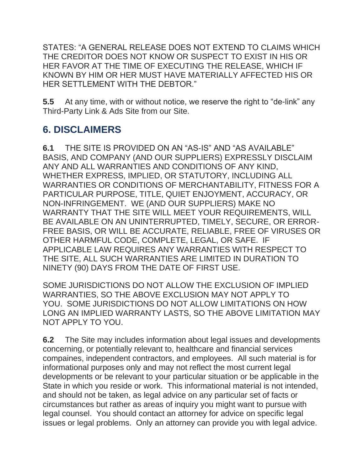STATES: "A GENERAL RELEASE DOES NOT EXTEND TO CLAIMS WHICH THE CREDITOR DOES NOT KNOW OR SUSPECT TO EXIST IN HIS OR HER FAVOR AT THE TIME OF EXECUTING THE RELEASE, WHICH IF KNOWN BY HIM OR HER MUST HAVE MATERIALLY AFFECTED HIS OR HER SETTLEMENT WITH THE DEBTOR."

**5.5** At any time, with or without notice, we reserve the right to "de-link" any Third-Party Link & Ads Site from our Site.

#### **6. DISCLAIMERS**

**6.1** THE SITE IS PROVIDED ON AN "AS-IS" AND "AS AVAILABLE" BASIS, AND COMPANY (AND OUR SUPPLIERS) EXPRESSLY DISCLAIM ANY AND ALL WARRANTIES AND CONDITIONS OF ANY KIND, WHETHER EXPRESS, IMPLIED, OR STATUTORY, INCLUDING ALL WARRANTIES OR CONDITIONS OF MERCHANTABILITY, FITNESS FOR A PARTICULAR PURPOSE, TITLE, QUIET ENJOYMENT, ACCURACY, OR NON-INFRINGEMENT. WE (AND OUR SUPPLIERS) MAKE NO WARRANTY THAT THE SITE WILL MEET YOUR REQUIREMENTS, WILL BE AVAILABLE ON AN UNINTERRUPTED, TIMELY, SECURE, OR ERROR-FREE BASIS, OR WILL BE ACCURATE, RELIABLE, FREE OF VIRUSES OR OTHER HARMFUL CODE, COMPLETE, LEGAL, OR SAFE. IF APPLICABLE LAW REQUIRES ANY WARRANTIES WITH RESPECT TO THE SITE, ALL SUCH WARRANTIES ARE LIMITED IN DURATION TO NINETY (90) DAYS FROM THE DATE OF FIRST USE.

SOME JURISDICTIONS DO NOT ALLOW THE EXCLUSION OF IMPLIED WARRANTIES, SO THE ABOVE EXCLUSION MAY NOT APPLY TO YOU. SOME JURISDICTIONS DO NOT ALLOW LIMITATIONS ON HOW LONG AN IMPLIED WARRANTY LASTS, SO THE ABOVE LIMITATION MAY NOT APPLY TO YOU.

**6.2** The Site may includes information about legal issues and developments concerning, or potentially relevant to, healthcare and financial services compaines, independent contractors, and employees. All such material is for informational purposes only and may not reflect the most current legal developments or be relevant to your particular situation or be applicable in the State in which you reside or work. This informational material is not intended, and should not be taken, as legal advice on any particular set of facts or circumstances but rather as areas of inquiry you might want to pursue with legal counsel. You should contact an attorney for advice on specific legal issues or legal problems. Only an attorney can provide you with legal advice.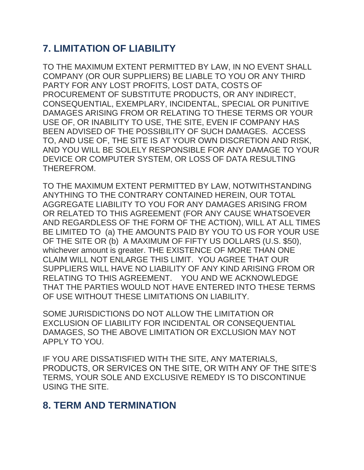## **7. LIMITATION OF LIABILITY**

TO THE MAXIMUM EXTENT PERMITTED BY LAW, IN NO EVENT SHALL COMPANY (OR OUR SUPPLIERS) BE LIABLE TO YOU OR ANY THIRD PARTY FOR ANY LOST PROFITS, LOST DATA, COSTS OF PROCUREMENT OF SUBSTITUTE PRODUCTS, OR ANY INDIRECT, CONSEQUENTIAL, EXEMPLARY, INCIDENTAL, SPECIAL OR PUNITIVE DAMAGES ARISING FROM OR RELATING TO THESE TERMS OR YOUR USE OF, OR INABILITY TO USE, THE SITE, EVEN IF COMPANY HAS BEEN ADVISED OF THE POSSIBILITY OF SUCH DAMAGES. ACCESS TO, AND USE OF, THE SITE IS AT YOUR OWN DISCRETION AND RISK, AND YOU WILL BE SOLELY RESPONSIBLE FOR ANY DAMAGE TO YOUR DEVICE OR COMPUTER SYSTEM, OR LOSS OF DATA RESULTING THEREFROM.

TO THE MAXIMUM EXTENT PERMITTED BY LAW, NOTWITHSTANDING ANYTHING TO THE CONTRARY CONTAINED HEREIN, OUR TOTAL AGGREGATE LIABILITY TO YOU FOR ANY DAMAGES ARISING FROM OR RELATED TO THIS AGREEMENT (FOR ANY CAUSE WHATSOEVER AND REGARDLESS OF THE FORM OF THE ACTION), WILL AT ALL TIMES BE LIMITED TO (a) THE AMOUNTS PAID BY YOU TO US FOR YOUR USE OF THE SITE OR (b) A MAXIMUM OF FIFTY US DOLLARS (U.S. \$50), whichever amount is greater. THE EXISTENCE OF MORE THAN ONE CLAIM WILL NOT ENLARGE THIS LIMIT. YOU AGREE THAT OUR SUPPLIERS WILL HAVE NO LIABILITY OF ANY KIND ARISING FROM OR RELATING TO THIS AGREEMENT. YOU AND WE ACKNOWLEDGE THAT THE PARTIES WOULD NOT HAVE ENTERED INTO THESE TERMS OF USE WITHOUT THESE LIMITATIONS ON LIABILITY.

SOME JURISDICTIONS DO NOT ALLOW THE LIMITATION OR EXCLUSION OF LIABILITY FOR INCIDENTAL OR CONSEQUENTIAL DAMAGES, SO THE ABOVE LIMITATION OR EXCLUSION MAY NOT APPLY TO YOU.

IF YOU ARE DISSATISFIED WITH THE SITE, ANY MATERIALS, PRODUCTS, OR SERVICES ON THE SITE, OR WITH ANY OF THE SITE'S TERMS, YOUR SOLE AND EXCLUSIVE REMEDY IS TO DISCONTINUE USING THE SITE.

#### **8. TERM AND TERMINATION**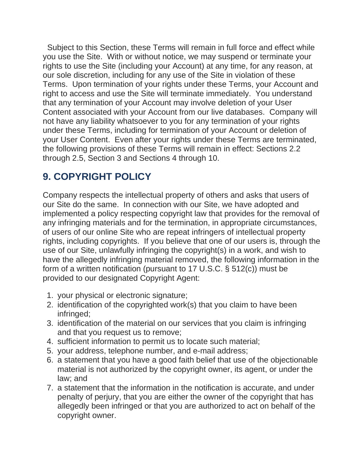Subject to this Section, these Terms will remain in full force and effect while you use the Site. With or without notice, we may suspend or terminate your rights to use the Site (including your Account) at any time, for any reason, at our sole discretion, including for any use of the Site in violation of these Terms. Upon termination of your rights under these Terms, your Account and right to access and use the Site will terminate immediately. You understand that any termination of your Account may involve deletion of your User Content associated with your Account from our live databases. Company will not have any liability whatsoever to you for any termination of your rights under these Terms, including for termination of your Account or deletion of your User Content. Even after your rights under these Terms are terminated, the following provisions of these Terms will remain in effect: Sections 2.2 through 2.5, Section 3 and Sections 4 through 10.

## **9. COPYRIGHT POLICY**

Company respects the intellectual property of others and asks that users of our Site do the same. In connection with our Site, we have adopted and implemented a policy respecting copyright law that provides for the removal of any infringing materials and for the termination, in appropriate circumstances, of users of our online Site who are repeat infringers of intellectual property rights, including copyrights. If you believe that one of our users is, through the use of our Site, unlawfully infringing the copyright(s) in a work, and wish to have the allegedly infringing material removed, the following information in the form of a written notification (pursuant to 17 U.S.C. § 512(c)) must be provided to our designated Copyright Agent:

- 1. your physical or electronic signature;
- 2. identification of the copyrighted work(s) that you claim to have been infringed;
- 3. identification of the material on our services that you claim is infringing and that you request us to remove;
- 4. sufficient information to permit us to locate such material;
- 5. your address, telephone number, and e-mail address;
- 6. a statement that you have a good faith belief that use of the objectionable material is not authorized by the copyright owner, its agent, or under the law; and
- 7. a statement that the information in the notification is accurate, and under penalty of perjury, that you are either the owner of the copyright that has allegedly been infringed or that you are authorized to act on behalf of the copyright owner.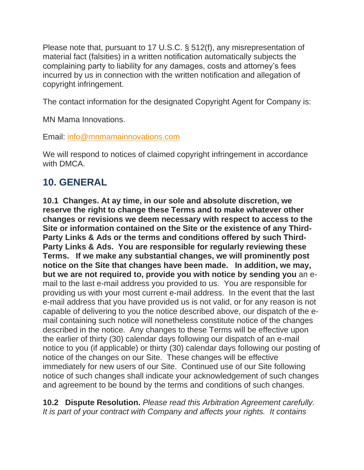Please note that, pursuant to 17 U.S.C. § 512(f), any misrepresentation of material fact (falsities) in a written notification automatically subjects the complaining party to liability for any damages, costs and attorney's fees incurred by us in connection with the written notification and allegation of copyright infringement.

The contact information for the designated Copyright Agent for Company is:

MN Mama Innovations.

Email: [info@mnmamainnovations.com](mailto:support@picanetwork.org)

We will respond to notices of claimed copyright infringement in accordance with DMCA.

#### **10. GENERAL**

**10.1 Changes. At ay time, in our sole and absolute discretion, we reserve the right to change these Terms and to make whatever other changes or revisions we deem necessary with respect to access to the Site or information contained on the Site or the existence of any Third-Party Links & Ads or the terms and conditions offered by such Third-Party Links & Ads. You are responsible for regularly reviewing these Terms. If we make any substantial changes, we will prominently post notice on the Site that changes have been made. In addition, we may, but we are not required to, provide you with notice by sending you** an email to the last e-mail address you provided to us. You are responsible for providing us with your most current e-mail address. In the event that the last e-mail address that you have provided us is not valid, or for any reason is not capable of delivering to you the notice described above, our dispatch of the email containing such notice will nonetheless constitute notice of the changes described in the notice. Any changes to these Terms will be effective upon the earlier of thirty (30) calendar days following our dispatch of an e-mail notice to you (if applicable) or thirty (30) calendar days following our posting of notice of the changes on our Site. These changes will be effective immediately for new users of our Site. Continued use of our Site following notice of such changes shall indicate your acknowledgement of such changes and agreement to be bound by the terms and conditions of such changes.

**10.2 Dispute Resolution.** *Please read this Arbitration Agreement carefully. It is part of your contract with Company and affects your rights. It contains*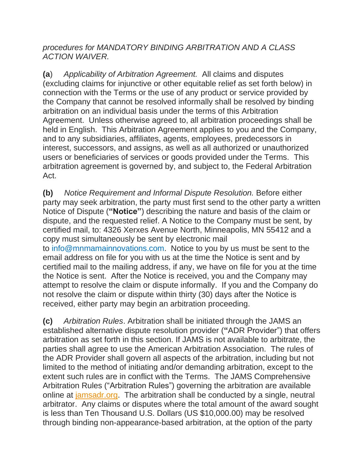*procedures for MANDATORY BINDING ARBITRATION AND A CLASS ACTION WAIVER.*

**(a**) *Applicability of Arbitration Agreement.* All claims and disputes (excluding claims for injunctive or other equitable relief as set forth below) in connection with the Terms or the use of any product or service provided by the Company that cannot be resolved informally shall be resolved by binding arbitration on an individual basis under the terms of this Arbitration Agreement. Unless otherwise agreed to, all arbitration proceedings shall be held in English. This Arbitration Agreement applies to you and the Company, and to any subsidiaries, affiliates, agents, employees, predecessors in interest, successors, and assigns, as well as all authorized or unauthorized users or beneficiaries of services or goods provided under the Terms. This arbitration agreement is governed by, and subject to, the Federal Arbitration Act.

**(b)** *Notice Requirement and Informal Dispute Resolution.* Before either party may seek arbitration, the party must first send to the other party a written Notice of Dispute (**"Notice"**) describing the nature and basis of the claim or dispute, and the requested relief. A Notice to the Company must be sent, by certified mail, to: 4326 Xerxes Avenue North, Minneapolis, MN 55412 and a copy must simultaneously be sent by electronic mail to info@mnmamainnovations.com. Notice to you by us must be sent to the email address on file for you with us at the time the Notice is sent and by certified mail to the mailing address, if any, we have on file for you at the time the Notice is sent. After the Notice is received, you and the Company may attempt to resolve the claim or dispute informally. If you and the Company do not resolve the claim or dispute within thirty (30) days after the Notice is received, either party may begin an arbitration proceeding.

**(c)** *Arbitration Rules*. Arbitration shall be initiated through the JAMS an established alternative dispute resolution provider (**"**ADR Provider") that offers arbitration as set forth in this section. If JAMS is not available to arbitrate, the parties shall agree to use the American Arbitration Association. The rules of the ADR Provider shall govern all aspects of the arbitration, including but not limited to the method of initiating and/or demanding arbitration, except to the extent such rules are in conflict with the Terms. The JAMS Comprehensive Arbitration Rules ("Arbitration Rules") governing the arbitration are available online at [jamsadr.org.](http://www.jamsadr.org/) The arbitration shall be conducted by a single, neutral arbitrator. Any claims or disputes where the total amount of the award sought is less than Ten Thousand U.S. Dollars (US \$10,000.00) may be resolved through binding non-appearance-based arbitration, at the option of the party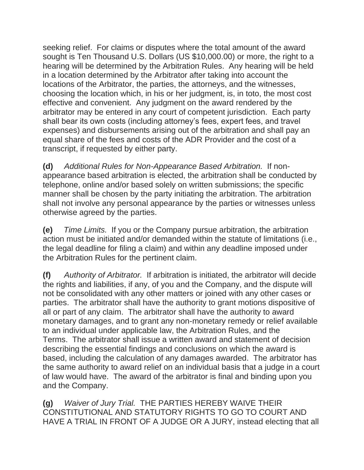seeking relief. For claims or disputes where the total amount of the award sought is Ten Thousand U.S. Dollars (US \$10,000.00) or more, the right to a hearing will be determined by the Arbitration Rules. Any hearing will be held in a location determined by the Arbitrator after taking into account the locations of the Arbitrator, the parties, the attorneys, and the witnesses, choosing the location which, in his or her judgment, is, in toto, the most cost effective and convenient. Any judgment on the award rendered by the arbitrator may be entered in any court of competent jurisdiction. Each party shall bear its own costs (including attorney's fees, expert fees, and travel expenses) and disbursements arising out of the arbitration and shall pay an equal share of the fees and costs of the ADR Provider and the cost of a transcript, if requested by either party.

**(d)** *Additional Rules for Non-Appearance Based Arbitration.* If nonappearance based arbitration is elected, the arbitration shall be conducted by telephone, online and/or based solely on written submissions; the specific manner shall be chosen by the party initiating the arbitration. The arbitration shall not involve any personal appearance by the parties or witnesses unless otherwise agreed by the parties.

**(e)** *Time Limits.* If you or the Company pursue arbitration, the arbitration action must be initiated and/or demanded within the statute of limitations (i.e., the legal deadline for filing a claim) and within any deadline imposed under the Arbitration Rules for the pertinent claim.

**(f)** *Authority of Arbitrator.* If arbitration is initiated, the arbitrator will decide the rights and liabilities, if any, of you and the Company, and the dispute will not be consolidated with any other matters or joined with any other cases or parties. The arbitrator shall have the authority to grant motions dispositive of all or part of any claim. The arbitrator shall have the authority to award monetary damages, and to grant any non-monetary remedy or relief available to an individual under applicable law, the Arbitration Rules, and the Terms. The arbitrator shall issue a written award and statement of decision describing the essential findings and conclusions on which the award is based, including the calculation of any damages awarded. The arbitrator has the same authority to award relief on an individual basis that a judge in a court of law would have. The award of the arbitrator is final and binding upon you and the Company.

**(g)** *Waiver of Jury Trial.* THE PARTIES HEREBY WAIVE THEIR CONSTITUTIONAL AND STATUTORY RIGHTS TO GO TO COURT AND HAVE A TRIAL IN FRONT OF A JUDGE OR A JURY, instead electing that all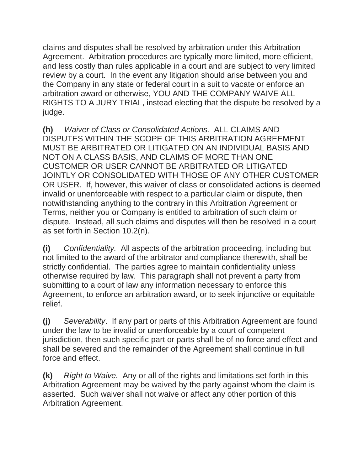claims and disputes shall be resolved by arbitration under this Arbitration Agreement. Arbitration procedures are typically more limited, more efficient, and less costly than rules applicable in a court and are subject to very limited review by a court. In the event any litigation should arise between you and the Company in any state or federal court in a suit to vacate or enforce an arbitration award or otherwise, YOU AND THE COMPANY WAIVE ALL RIGHTS TO A JURY TRIAL, instead electing that the dispute be resolved by a judge.

**(h)** *Waiver of Class or Consolidated Actions.* ALL CLAIMS AND DISPUTES WITHIN THE SCOPE OF THIS ARBITRATION AGREEMENT MUST BE ARBITRATED OR LITIGATED ON AN INDIVIDUAL BASIS AND NOT ON A CLASS BASIS, AND CLAIMS OF MORE THAN ONE CUSTOMER OR USER CANNOT BE ARBITRATED OR LITIGATED JOINTLY OR CONSOLIDATED WITH THOSE OF ANY OTHER CUSTOMER OR USER. If, however, this waiver of class or consolidated actions is deemed invalid or unenforceable with respect to a particular claim or dispute, then notwithstanding anything to the contrary in this Arbitration Agreement or Terms, neither you or Company is entitled to arbitration of such claim or dispute. Instead, all such claims and disputes will then be resolved in a court as set forth in Section 10.2(n).

**(i)** *Confidentiality.* All aspects of the arbitration proceeding, including but not limited to the award of the arbitrator and compliance therewith, shall be strictly confidential. The parties agree to maintain confidentiality unless otherwise required by law. This paragraph shall not prevent a party from submitting to a court of law any information necessary to enforce this Agreement, to enforce an arbitration award, or to seek injunctive or equitable relief.

**(j)** *Severability*. If any part or parts of this Arbitration Agreement are found under the law to be invalid or unenforceable by a court of competent jurisdiction, then such specific part or parts shall be of no force and effect and shall be severed and the remainder of the Agreement shall continue in full force and effect.

**(k)** *Right to Waive.* Any or all of the rights and limitations set forth in this Arbitration Agreement may be waived by the party against whom the claim is asserted. Such waiver shall not waive or affect any other portion of this Arbitration Agreement.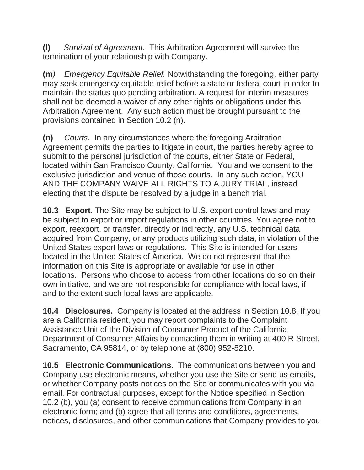**(l)** *Survival of Agreement.* This Arbitration Agreement will survive the termination of your relationship with Company.

**(m***) Emergency Equitable Relief.* Notwithstanding the foregoing, either party may seek emergency equitable relief before a state or federal court in order to maintain the status quo pending arbitration. A request for interim measures shall not be deemed a waiver of any other rights or obligations under this Arbitration Agreement. Any such action must be brought pursuant to the provisions contained in Section 10.2 (n).

**(n)** *Courts.* In any circumstances where the foregoing Arbitration Agreement permits the parties to litigate in court, the parties hereby agree to submit to the personal jurisdiction of the courts, either State or Federal, located within San Francisco County, California. You and we consent to the exclusive jurisdiction and venue of those courts. In any such action, YOU AND THE COMPANY WAIVE ALL RIGHTS TO A JURY TRIAL, instead electing that the dispute be resolved by a judge in a bench trial.

**10.3 Export.** The Site may be subject to U.S. export control laws and may be subject to export or import regulations in other countries. You agree not to export, reexport, or transfer, directly or indirectly, any U.S. technical data acquired from Company, or any products utilizing such data, in violation of the United States export laws or regulations. This Site is intended for users located in the United States of America. We do not represent that the information on this Site is appropriate or available for use in other locations. Persons who choose to access from other locations do so on their own initiative, and we are not responsible for compliance with local laws, if and to the extent such local laws are applicable.

**10.4 Disclosures.** Company is located at the address in Section 10.8. If you are a California resident, you may report complaints to the Complaint Assistance Unit of the Division of Consumer Product of the California Department of Consumer Affairs by contacting them in writing at 400 R Street, Sacramento, CA 95814, or by telephone at (800) 952-5210.

**10.5 Electronic Communications.** The communications between you and Company use electronic means, whether you use the Site or send us emails, or whether Company posts notices on the Site or communicates with you via email. For contractual purposes, except for the Notice specified in Section 10.2 (b), you (a) consent to receive communications from Company in an electronic form; and (b) agree that all terms and conditions, agreements, notices, disclosures, and other communications that Company provides to you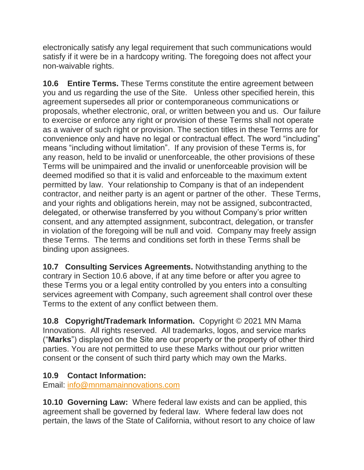electronically satisfy any legal requirement that such communications would satisfy if it were be in a hardcopy writing. The foregoing does not affect your non-waivable rights.

**10.6 Entire Terms.** These Terms constitute the entire agreement between you and us regarding the use of the Site. Unless other specified herein, this agreement supersedes all prior or contemporaneous communications or proposals, whether electronic, oral, or written between you and us. Our failure to exercise or enforce any right or provision of these Terms shall not operate as a waiver of such right or provision. The section titles in these Terms are for convenience only and have no legal or contractual effect. The word "including" means "including without limitation". If any provision of these Terms is, for any reason, held to be invalid or unenforceable, the other provisions of these Terms will be unimpaired and the invalid or unenforceable provision will be deemed modified so that it is valid and enforceable to the maximum extent permitted by law. Your relationship to Company is that of an independent contractor, and neither party is an agent or partner of the other. These Terms, and your rights and obligations herein, may not be assigned, subcontracted, delegated, or otherwise transferred by you without Company's prior written consent, and any attempted assignment, subcontract, delegation, or transfer in violation of the foregoing will be null and void. Company may freely assign these Terms. The terms and conditions set forth in these Terms shall be binding upon assignees.

**10.7 Consulting Services Agreements.** Notwithstanding anything to the contrary in Section 10.6 above, if at any time before or after you agree to these Terms you or a legal entity controlled by you enters into a consulting services agreement with Company, such agreement shall control over these Terms to the extent of any conflict between them.

**10.8 Copyright/Trademark Information.** Copyright © 2021 MN Mama Innovations. All rights reserved. All trademarks, logos, and service marks ("**Marks**") displayed on the Site are our property or the property of other third parties. You are not permitted to use these Marks without our prior written consent or the consent of such third party which may own the Marks.

#### **10.9 Contact Information:**

Email: [info@mnmamainnovations.com](mailto:support@picanetwork.org)

**10.10 Governing Law:** Where federal law exists and can be applied, this agreement shall be governed by federal law. Where federal law does not pertain, the laws of the State of California, without resort to any choice of law